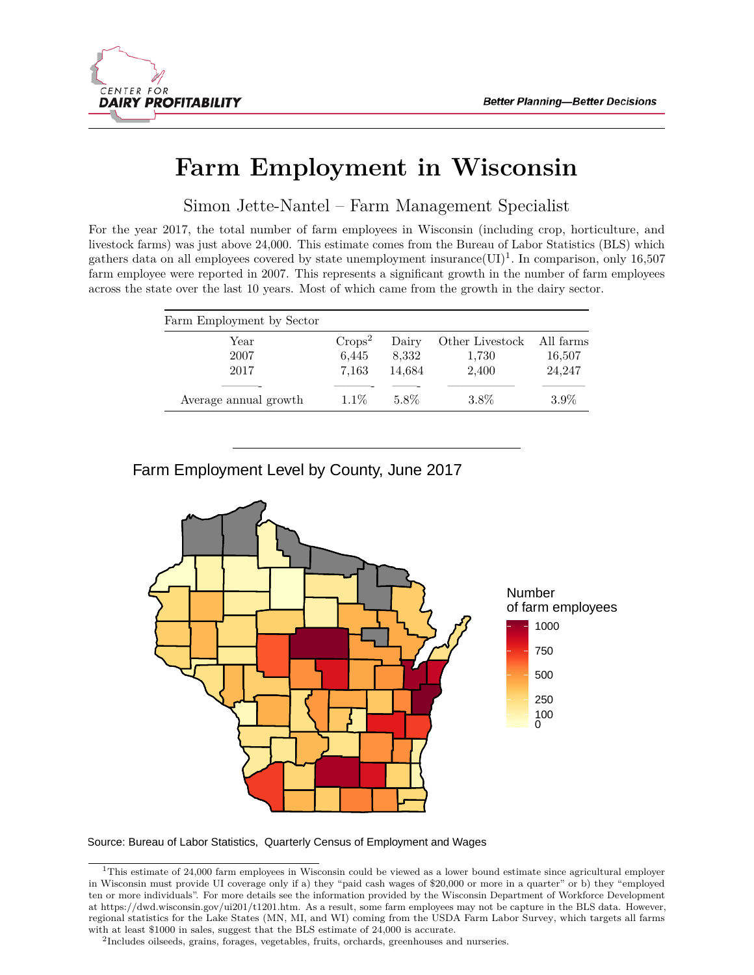

# **Farm Employment in Wisconsin**

Simon Jette-Nantel – Farm Management Specialist

For the year 2017, the total number of farm employees in Wisconsin (including crop, horticulture, and livestock farms) was just above 24,000. This estimate comes from the [Bureau of Labor Statistics \(BLS\)](https://www.bls.gov/cew/) which gathers data on all employees covered by state unemployment insurance  $(UI)^1$  $(UI)^1$ . In comparison, only 16,507 farm employee were reported in 2007. This represents a significant growth in the number of farm employees across the state over the last 10 years. Most of which came from the growth in the dairy sector.

| Farm Employment by Sector |           |        |                           |         |
|---------------------------|-----------|--------|---------------------------|---------|
| Year                      | $Crops^2$ | Dairy  | Other Livestock All farms |         |
| 2007                      | 6,445     | 8,332  | 1,730                     | 16,507  |
| 2017                      | 7.163     | 14,684 | 2,400                     | 24,247  |
|                           |           |        |                           |         |
| Average annual growth     | $1.1\%$   | 5.8%   | $3.8\%$                   | $3.9\%$ |
|                           |           |        |                           |         |

## Farm Employment Level by County, June 2017



Source: Bureau of Labor Statistics, Quarterly Census of Employment and Wages

<span id="page-0-0"></span><sup>&</sup>lt;sup>1</sup>This estimate of 24,000 farm employees in Wisconsin could be viewed as a lower bound estimate since agricultural employer in Wisconsin must provide UI coverage only if a) they "paid cash wages of \$20,000 or more in a quarter" or b) they "employed ten or more individuals". For more details see the information provided by the Wisconsin Department of Workforce Development at [https://dwd.wisconsin.gov/ui201/t1201.htm.](https://dwd.wisconsin.gov/ui201/t1201.htm) As a result, some farm employees may not be capture in the BLS data. However, regional statistics for the Lake States (MN, MI, and WI) coming from the [USDA Farm Labor Survey,](https://www.nass.usda.gov/Surveys/Guide_to_NASS_Surveys/Farm_Labor/) which targets all farms with at least \$1000 in sales, suggest that the BLS estimate of 24,000 is accurate.

<span id="page-0-1"></span><sup>2</sup> Includes oilseeds, grains, forages, vegetables, fruits, orchards, greenhouses and nurseries.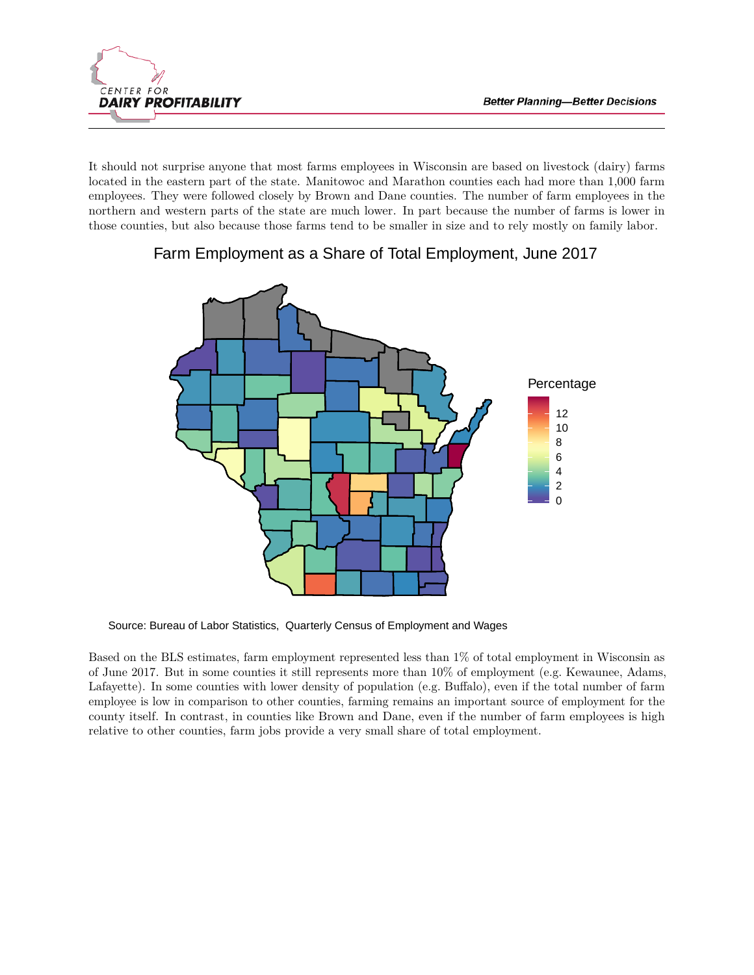

It should not surprise anyone that most farms employees in Wisconsin are based on livestock (dairy) farms located in the eastern part of the state. Manitowoc and Marathon counties each had more than 1,000 farm employees. They were followed closely by Brown and Dane counties. The number of farm employees in the northern and western parts of the state are much lower. In part because the number of farms is lower in those counties, but also because those farms tend to be smaller in size and to rely mostly on family labor.



### Farm Employment as a Share of Total Employment, June 2017

Source: Bureau of Labor Statistics, Quarterly Census of Employment and Wages

Based on the BLS estimates, farm employment represented less than 1% of total employment in Wisconsin as of June 2017. But in some counties it still represents more than 10% of employment (e.g. Kewaunee, Adams, Lafayette). In some counties with lower density of population (e.g. Buffalo), even if the total number of farm employee is low in comparison to other counties, farming remains an important source of employment for the county itself. In contrast, in counties like Brown and Dane, even if the number of farm employees is high relative to other counties, farm jobs provide a very small share of total employment.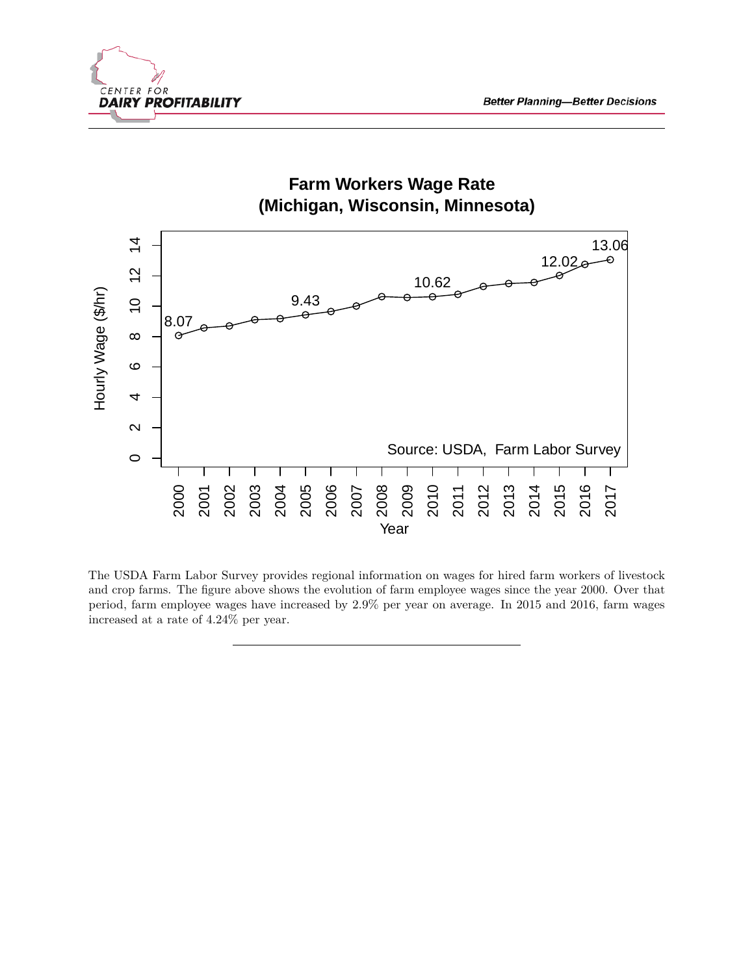



The [USDA Farm Labor Survey](https://www.nass.usda.gov/Surveys/Guide_to_NASS_Surveys/Farm_Labor/) provides regional information on wages for hired farm workers of livestock and crop farms. The figure above shows the evolution of farm employee wages since the year 2000. Over that period, farm employee wages have increased by 2.9% per year on average. In 2015 and 2016, farm wages increased at a rate of 4.24% per year.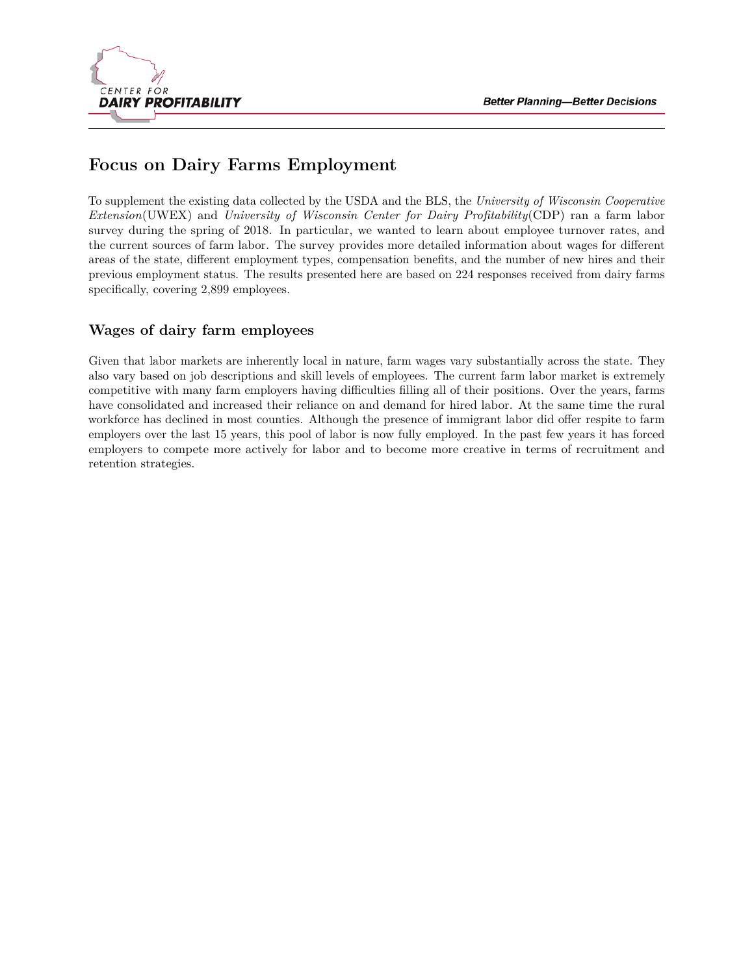

## **Focus on Dairy Farms Employment**

To supplement the existing data collected by the USDA and the BLS, the *University of Wisconsin Cooperative Extension*(UWEX) and *University of Wisconsin Center for Dairy Profitability*(CDP) ran a farm labor survey during the spring of 2018. In particular, we wanted to learn about employee turnover rates, and the current sources of farm labor. The survey provides more detailed information about wages for different areas of the state, different employment types, compensation benefits, and the number of new hires and their previous employment status. The results presented here are based on 224 responses received from dairy farms specifically, covering 2,899 employees.

#### **Wages of dairy farm employees**

Given that labor markets are inherently local in nature, farm wages vary substantially across the state. They also vary based on job descriptions and skill levels of employees. The current farm labor market is extremely competitive with many farm employers having difficulties filling all of their positions. Over the years, farms have consolidated and increased their reliance on and demand for hired labor. At the same time the rural workforce has declined in most counties. Although the presence of immigrant labor did offer respite to farm employers over the last 15 years, this pool of labor is now fully employed. In the past few years it has forced employers to compete more actively for labor and to become more creative in terms of recruitment and retention strategies.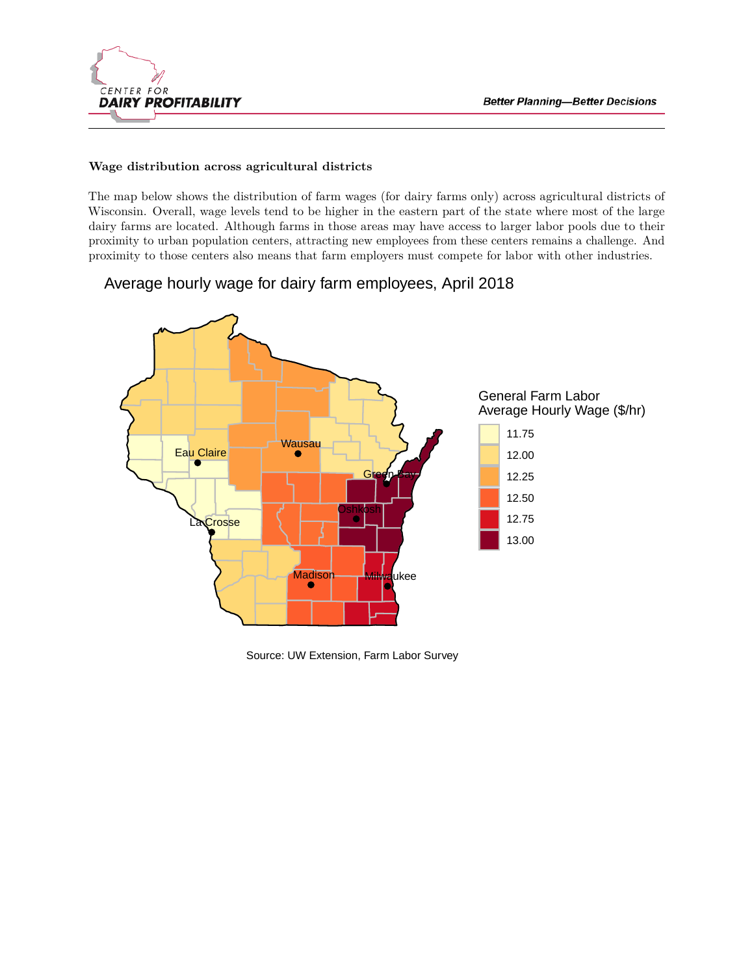

#### **Wage distribution across agricultural districts**

The map below shows the distribution of farm wages (for dairy farms only) across agricultural districts of Wisconsin. Overall, wage levels tend to be higher in the eastern part of the state where most of the large dairy farms are located. Although farms in those areas may have access to larger labor pools due to their proximity to urban population centers, attracting new employees from these centers remains a challenge. And proximity to those centers also means that farm employers must compete for labor with other industries.

### Average hourly wage for dairy farm employees, April 2018



Source: UW Extension, Farm Labor Survey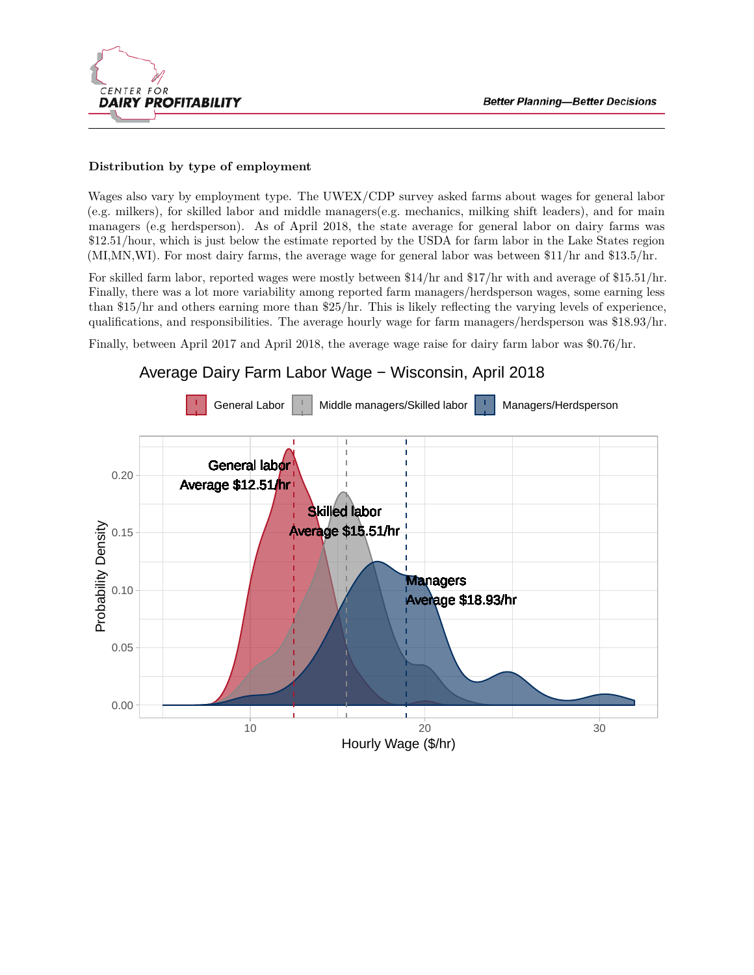

#### **Distribution by type of employment**

Wages also vary by employment type. The UWEX/CDP survey asked farms about wages for general labor (e.g. milkers), for skilled labor and middle managers(e.g. mechanics, milking shift leaders), and for main managers (e.g herdsperson). As of April 2018, the state average for general labor on dairy farms was \$12.51/hour, which is just below the estimate reported by the USDA for farm labor in the Lake States region (MI,MN,WI). For most dairy farms, the average wage for general labor was between \$11/hr and \$13.5/hr.

For skilled farm labor, reported wages were mostly between \$14/hr and \$17/hr with and average of \$15.51/hr. Finally, there was a lot more variability among reported farm managers/herdsperson wages, some earning less than \$15/hr and others earning more than \$25/hr. This is likely reflecting the varying levels of experience, qualifications, and responsibilities. The average hourly wage for farm managers/herdsperson was \$18.93/hr.

Finally, between April 2017 and April 2018, the average wage raise for dairy farm labor was \$0.76/hr.

### Average Dairy Farm Labor Wage − Wisconsin, April 2018

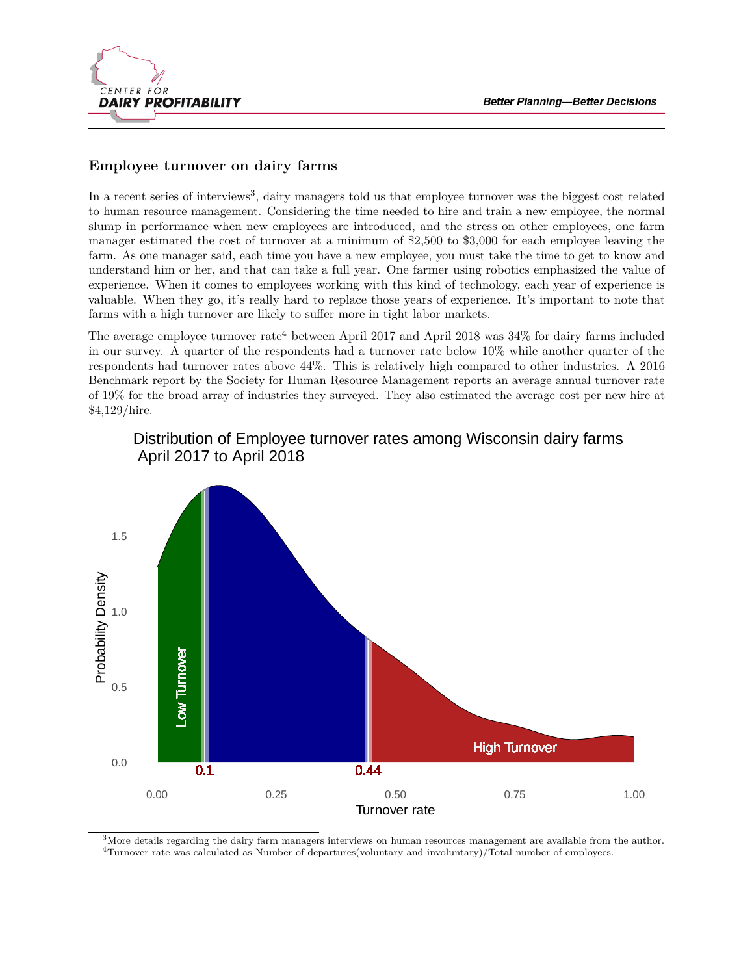

#### **Employee turnover on dairy farms**

In a recent series of interviews<sup>[3](#page-6-0)</sup>, dairy managers told us that employee turnover was the biggest cost related to human resource management. Considering the time needed to hire and train a new employee, the normal slump in performance when new employees are introduced, and the stress on other employees, one farm manager estimated the cost of turnover at a minimum of \$2,500 to \$3,000 for each employee leaving the farm. As one manager said, each time you have a new employee, you must take the time to get to know and understand him or her, and that can take a full year. One farmer using robotics emphasized the value of experience. When it comes to employees working with this kind of technology, each year of experience is valuable. When they go, it's really hard to replace those years of experience. It's important to note that farms with a high turnover are likely to suffer more in tight labor markets.

The average employee turnover rate<sup>[4](#page-6-1)</sup> between April 2017 and April 2018 was  $34\%$  for dairy farms included in our survey. A quarter of the respondents had a turnover rate below 10% while another quarter of the respondents had turnover rates above 44%. This is relatively high compared to other industries. A [2016](https://www.shrm.org/hr-today/trends-and-forecasting/research-and-surveys/Documents/2016-Human-Capital-Report.pdf) [Benchmark report](https://www.shrm.org/hr-today/trends-and-forecasting/research-and-surveys/Documents/2016-Human-Capital-Report.pdf) by the Society for Human Resource Management reports an average annual turnover rate of 19% for the broad array of industries they surveyed. They also estimated the average cost per new hire at \$4,129/hire.



### Distribution of Employee turnover rates among Wisconsin dairy farms April 2017 to April 2018

<span id="page-6-1"></span><span id="page-6-0"></span> $3$ More details regarding the dairy farm managers interviews on human resources management are available from the author. <sup>4</sup>Turnover rate was calculated as Number of departures(voluntary and involuntary)/Total number of employees.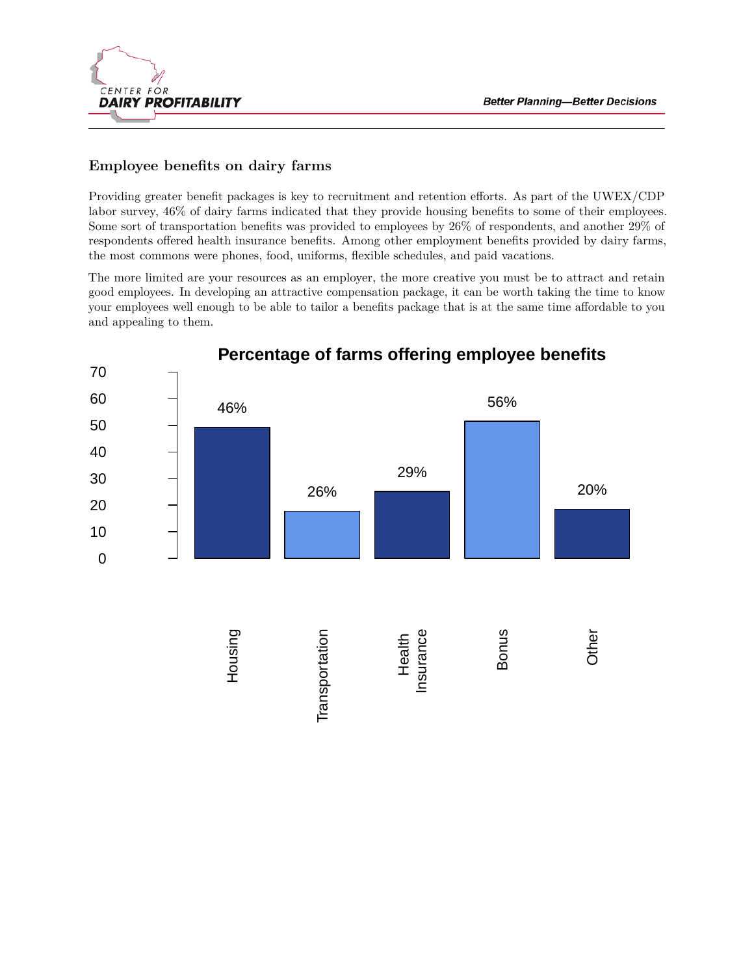

#### **Employee benefits on dairy farms**

Providing greater benefit packages is key to recruitment and retention efforts. As part of the UWEX/CDP labor survey, 46% of dairy farms indicated that they provide housing benefits to some of their employees. Some sort of transportation benefits was provided to employees by 26% of respondents, and another 29% of respondents offered health insurance benefits. Among other employment benefits provided by dairy farms, the most commons were phones, food, uniforms, flexible schedules, and paid vacations.

The more limited are your resources as an employer, the more creative you must be to attract and retain good employees. In developing an attractive compensation package, it can be worth taking the time to know your employees well enough to be able to tailor a benefits package that is at the same time affordable to you and appealing to them.

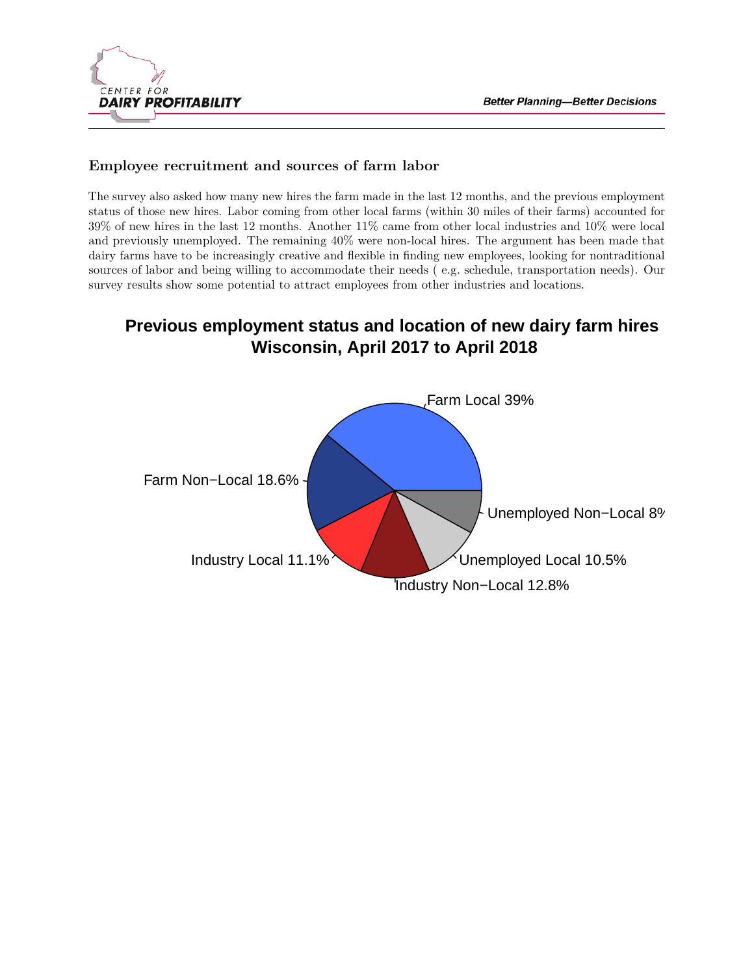

#### **Employee recruitment and sources of farm labor**

The survey also asked how many new hires the farm made in the last 12 months, and the previous employment status of those new hires. Labor coming from other local farms (within 30 miles of their farms) accounted for 39% of new hires in the last 12 months. Another 11% came from other local industries and 10% were local and previously unemployed. The remaining 40% were non-local hires. The argument has been made that dairy farms have to be increasingly creative and flexible in finding new employees, looking for nontraditional sources of labor and being willing to accommodate their needs ( e.g. schedule, transportation needs). Our survey results show some potential to attract employees from other industries and locations.

# **Previous employment status and location of new dairy farm hires Wisconsin, April 2017 to April 2018**

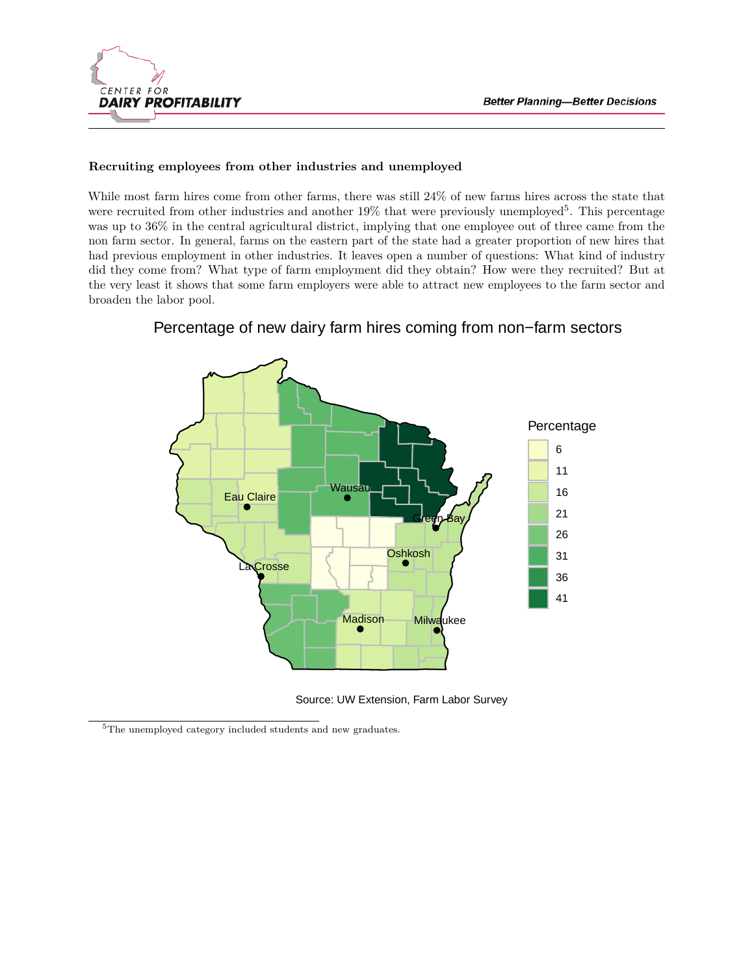

#### **Recruiting employees from other industries and unemployed**

While most farm hires come from other farms, there was still 24% of new farms hires across the state that were recruited from other industries and another  $19\%$  that were previously unemployed<sup>[5](#page-9-0)</sup>. This percentage was up to 36% in the central agricultural district, implying that one employee out of three came from the non farm sector. In general, farms on the eastern part of the state had a greater proportion of new hires that had previous employment in other industries. It leaves open a number of questions: What kind of industry did they come from? What type of farm employment did they obtain? How were they recruited? But at the very least it shows that some farm employers were able to attract new employees to the farm sector and broaden the labor pool.



Percentage of new dairy farm hires coming from non−farm sectors

Source: UW Extension, Farm Labor Survey

<span id="page-9-0"></span><sup>5</sup>The unemployed category included students and new graduates.